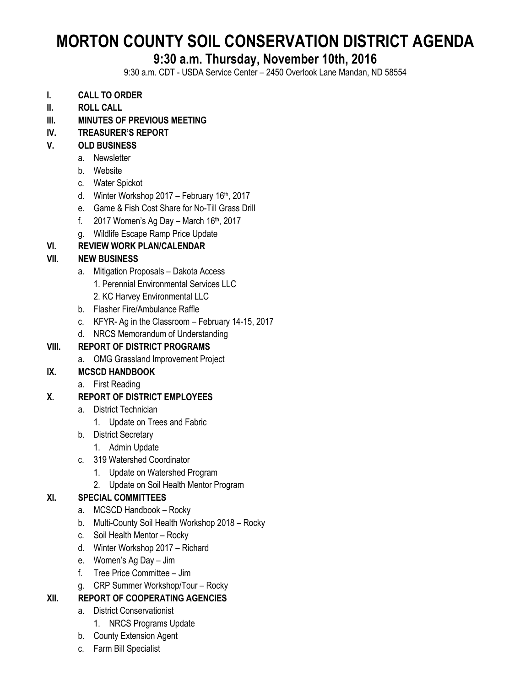# **MORTON COUNTY SOIL CONSERVATION DISTRICT AGENDA**

# **9:30 a.m. Thursday, November 10th, 2016**

9:30 a.m. CDT - USDA Service Center – 2450 Overlook Lane Mandan, ND 58554

- **I. CALL TO ORDER**
- **II. ROLL CALL**
- **III. MINUTES OF PREVIOUS MEETING**
- **IV. TREASURER'S REPORT**

# **V. OLD BUSINESS**

- a. Newsletter
- b. Website
- c. Water Spickot
- d. Winter Workshop 2017 February 16th, 2017
- e. Game & Fish Cost Share for No-Till Grass Drill
- f.  $2017$  Women's Ag Day March 16th, 2017
- g. Wildlife Escape Ramp Price Update

# **VI. REVIEW WORK PLAN/CALENDAR**

# **VII. NEW BUSINESS**

- a. Mitigation Proposals Dakota Access
	- 1. Perennial Environmental Services LLC
	- 2. KC Harvey Environmental LLC
- b. Flasher Fire/Ambulance Raffle
- c. KFYR- Ag in the Classroom February 14-15, 2017
- d. NRCS Memorandum of Understanding

# **VIII. REPORT OF DISTRICT PROGRAMS**

- a. OMG Grassland Improvement Project
- **IX. MCSCD HANDBOOK**
	- a. First Reading

# **X. REPORT OF DISTRICT EMPLOYEES**

- a. District Technician
	- 1. Update on Trees and Fabric
- b. District Secretary
	- 1. Admin Update
- c. 319 Watershed Coordinator
	- 1. Update on Watershed Program
	- 2. Update on Soil Health Mentor Program

# **XI. SPECIAL COMMITTEES**

- a. MCSCD Handbook Rocky
- b. Multi-County Soil Health Workshop 2018 Rocky
- c. Soil Health Mentor Rocky
- d. Winter Workshop 2017 Richard
- e. Women's Ag Day Jim
- f. Tree Price Committee Jim
- g. CRP Summer Workshop/Tour Rocky

# **XII. REPORT OF COOPERATING AGENCIES**

- a. District Conservationist
	- 1. NRCS Programs Update
- b. County Extension Agent
- c. Farm Bill Specialist